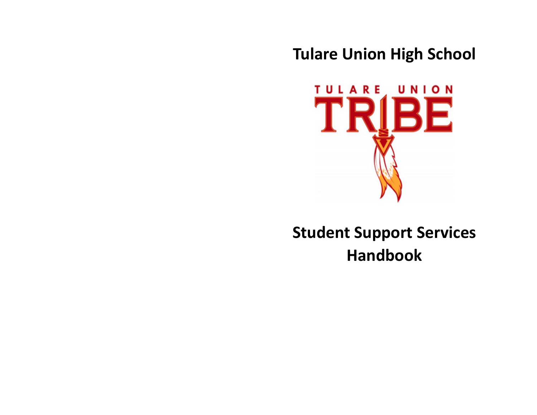**Tulare Union High School**



# **Student Support Services Handbook**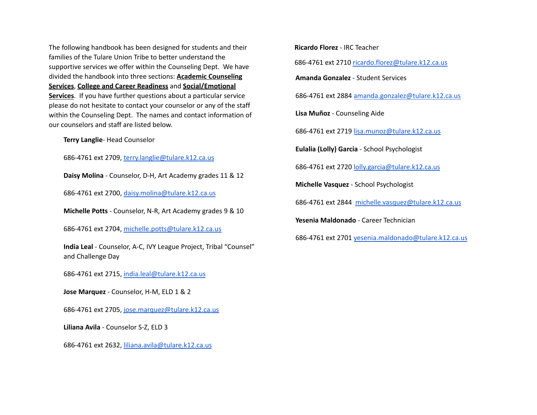The following handbook has been designed for students and their families of the Tulare Union Tribe to better understand the supportive services we offer within the Counseling Dept. We have divided the handbook into three sections: **Academic Counseling Services**, **College and Career Readiness** and **Social/Emotional Services**. If you have further questions about a particular service please do not hesitate to contact your counselor or any of the staff within the Counseling Dept. The names and contact information of our counselors and staff are listed below.

**Terry Langlie**- Head Counselor

686-4761 ext 2709, [terry.langlie@tulare.k12.ca.us](mailto:terry.langlie@tulare.k12.ca.us)

**Daisy Molina** - Counselor, D-H, Art Academy grades 11 & 12

686-4761 ext 2700, [daisy.molina@tulare.k12.ca.us](mailto:daisy.molina@tulare.k12.ca.us)

**Michelle Potts** - Counselor, N-R, Art Academy grades 9 & 10

686-4761 ext 2704, [michelle.potts@tulare.k12.ca.us](mailto:michelle.potts@tulare.k12.ca.us)

**India Leal** - Counselor, A-C, IVY League Project, Tribal "Counsel" and Challenge Day

686-4761 ext 2715, [india.leal@tulare.k12.ca.us](mailto:india.leal@tulare.k12.ca.us)

**Jose Marquez** - Counselor, H-M, ELD 1 & 2

686-4761 ext 2705, [jose.marquez@tulare.k12.ca.us](mailto:jose.marquez@tulare.k12.ca.us)

**Liliana Avila** - Counselor S-Z, ELD 3

686-4761 ext 2632, [liliana.avila@tulare.k12.ca.us](mailto:liliana.avila@tulare.k12.ca.us)

**Ricardo Florez** - IRC Teacher 686-4761 ext 2710 [ricardo.florez@tulare.k12.ca.us](mailto:ricardo.florez@tulare.k12.ca.us) **Amanda Gonzalez** - Student Services 686-4761 ext 2884 [amanda.gonzalez@tulare.k12.ca.us](mailto:amanda.gonzalez@tulare.k12.ca.us) **Lisa Muñoz** - Counseling Aide 686-4761 ext 2719 [lisa.munoz@tulare.k12.ca.us](mailto:lisa.munoz@tulare.k12.ca.us) **Eulalia (Lolly) Garcia** - School Psychologist 686-4761 ext 2720 [lolly.garcia@tulare.k12.ca.us](mailto:lolly.garcia@tulare.k12.ca.us) **Michelle Vasquez** - School Psychologist 686-4761 ext 2844 [michelle.vasquez@tulare.k12.ca.us](mailto:michelle.vasquez@tulare.k12.ca.us) **Yesenia Maldonado** - Career Technician 686-4761 ext 2701 [yesenia.maldonado@tulare.k12.ca.us](mailto:yesenia.maldonado@tulare.k12.ca.us)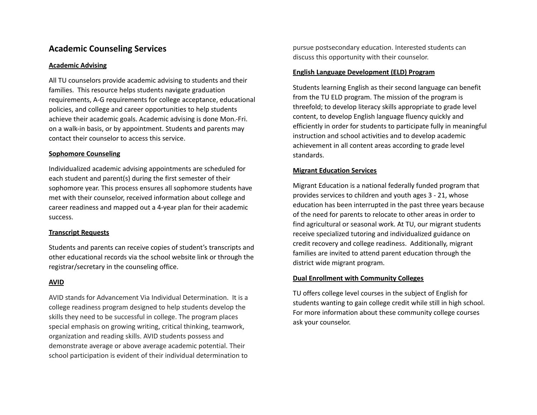# **Academic Counseling Services**

#### **Academic Advising**

All TU counselors provide academic advising to students and their families. This resource helps students navigate graduation requirements, A-G requirements for college acceptance, educational policies, and college and career opportunities to help students achieve their academic goals. Academic advising is done Mon.-Fri. on a walk-in basis, or by appointment. Students and parents may contact their counselor to access this service.

#### **Sophomore Counseling**

Individualized academic advising appointments are scheduled for each student and parent(s) during the first semester of their sophomore year. This process ensures all sophomore students have met with their counselor, received information about college and career readiness and mapped out a 4-year plan for their academic success.

# **Transcript Requests**

Students and parents can receive copies of student's transcripts and other educational records via the school website link or through the registrar/secretary in the counseling office.

# **AVID**

AVID stands for Advancement Via Individual Determination. It is a college readiness program designed to help students develop the skills they need to be successful in college. The program places special emphasis on growing writing, critical thinking, teamwork, organization and reading skills. AVID students possess and demonstrate average or above average academic potential. Their school participation is evident of their individual determination to

pursue postsecondary education. Interested students can discuss this opportunity with their counselor.

#### **English Language Development (ELD) Program**

Students learning English as their second language can benefit from the TU ELD program. The mission of the program is threefold; to develop literacy skills appropriate to grade level content, to develop English language fluency quickly and efficiently in order for students to participate fully in meaningful instruction and school activities and to develop academic achievement in all content areas according to grade level standards.

# **Migrant Education Services**

Migrant Education is a national federally funded program that provides services to children and youth ages 3 - 21, whose education has been interrupted in the past three years because of the need for parents to relocate to other areas in order to find agricultural or seasonal work. At TU, our migrant students receive specialized tutoring and individualized guidance on credit recovery and college readiness. Additionally, migrant families are invited to attend parent education through the district wide migrant program.

#### **Dual Enrollment with Community Colleges**

TU offers college level courses in the subject of English for students wanting to gain college credit while still in high school. For more information about these community college courses ask your counselor.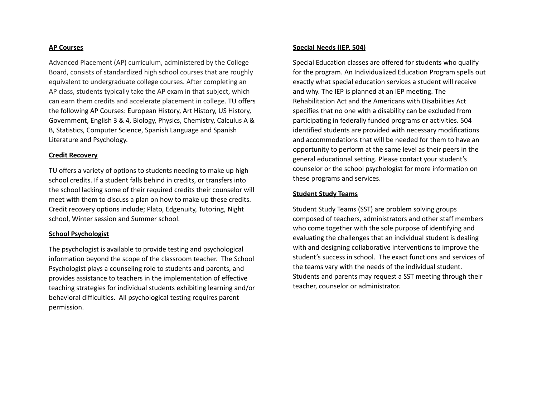#### **AP Courses**

Advanced Placement (AP) curriculum, administered by the College Board, consists of standardized high school courses that are roughly equivalent to undergraduate college courses. After completing an AP class, students typically take the AP exam in that subject, which can earn them credits and accelerate placement in college. TU offers the following AP Courses: European History, Art History, US History, Government, English 3 & 4, Biology, Physics, Chemistry, Calculus A & B, Statistics, Computer Science, Spanish Language and Spanish Literature and Psychology.

#### **Credit Recovery**

TU offers a variety of options to students needing to make up high school credits. If a student falls behind in credits, or transfers into the school lacking some of their required credits their counselor will meet with them to discuss a plan on how to make up these credits. Credit recovery options include; Plato, Edgenuity, Tutoring, Night school, Winter session and Summer school.

#### **School Psychologist**

The psychologist is available to provide testing and psychological information beyond the scope of the classroom teacher. The School Psychologist plays a counseling role to students and parents, and provides assistance to teachers in the implementation of effective teaching strategies for individual students exhibiting learning and/or behavioral difficulties. All psychological testing requires parent permission.

#### **Special Needs (IEP, 504)**

Special Education classes are offered for students who qualify for the program. An Individualized Education Program spells out exactly what special education services a student will receive and why. The IEP is planned at an IEP meeting. The Rehabilitation Act and the Americans with Disabilities Act specifies that no one with a disability can be excluded from participating in federally funded programs or activities. 504 identified students are provided with necessary modifications and accommodations that will be needed for them to have an opportunity to perform at the same level as their peers in the general educational setting. Please contact your student's counselor or the school psychologist for more information on these programs and services.

#### **Student Study Teams**

Student Study Teams (SST) are problem solving groups composed of teachers, administrators and other staff members who come together with the sole purpose of identifying and evaluating the challenges that an individual student is dealing with and designing collaborative interventions to improve the student's success in school. The exact functions and services of the teams vary with the needs of the individual student. Students and parents may request a SST meeting through their teacher, counselor or administrator.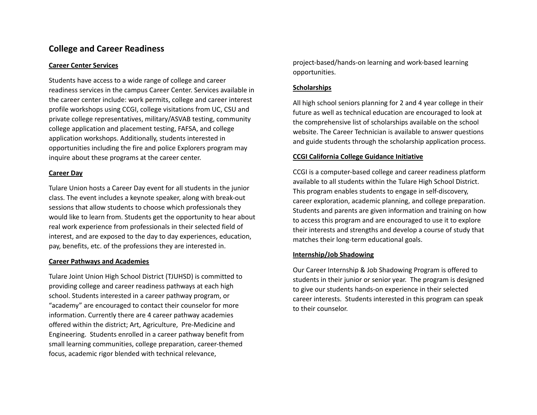# **College and Career Readiness**

### **Career Center Services**

Students have access to a wide range of college and career readiness services in the campus Career Center. Services available in the career center include: work permits, college and career interest profile workshops using CCGI, college visitations from UC, CSU and private college representatives, military/ASVAB testing, community college application and placement testing, FAFSA, and college application workshops. Additionally, students interested in opportunities including the fire and police Explorers program may inquire about these programs at the career center.

# **Career Day**

Tulare Union hosts a Career Day event for all students in the junior class. The event includes a keynote speaker, along with break-out sessions that allow students to choose which professionals they would like to learn from. Students get the opportunity to hear about real work experience from professionals in their selected field of interest, and are exposed to the day to day experiences, education, pay, benefits, etc. of the professions they are interested in.

#### **Career Pathways and Academies**

Tulare Joint Union High School District (TJUHSD) is committed to providing college and career readiness pathways at each high school. Students interested in a career pathway program, or "academy" are encouraged to contact their counselor for more information. Currently there are 4 career pathway academies offered within the district; Art, Agriculture, Pre-Medicine and Engineering. Students enrolled in a career pathway benefit from small learning communities, college preparation, career-themed focus, academic rigor blended with technical relevance,

project-based/hands-on learning and work-based learning opportunities.

# **Scholarships**

All high school seniors planning for 2 and 4 year college in their future as well as technical education are encouraged to look at the comprehensive list of scholarships available on the school website. The Career Technician is available to answer questions and guide students through the scholarship application process.

# **CCGI California College Guidance Initiative**

CCGI is a computer-based college and career readiness platform available to all students within the Tulare High School District. This program enables students to engage in self-discovery, career exploration, academic planning, and college preparation. Students and parents are given information and training on how to access this program and are encouraged to use it to explore their interests and strengths and develop a course of study that matches their long-term educational goals.

# **Internship/Job Shadowing**

Our Career Internship & Job Shadowing Program is offered to students in their junior or senior year. The program is designed to give our students hands-on experience in their selected career interests. Students interested in this program can speak to their counselor.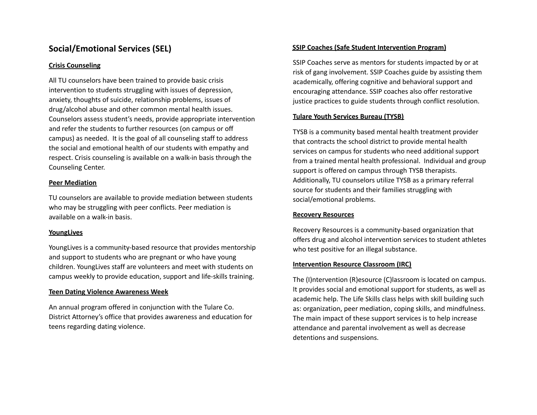# **Social/Emotional Services (SEL)**

### **Crisis Counseling**

All TU counselors have been trained to provide basic crisis intervention to students struggling with issues of depression, anxiety, thoughts of suicide, relationship problems, issues of drug/alcohol abuse and other common mental health issues. Counselors assess student's needs, provide appropriate intervention and refer the students to further resources (on campus or off campus) as needed. It is the goal of all counseling staff to address the social and emotional health of our students with empathy and respect. Crisis counseling is available on a walk-in basis through the Counseling Center.

### **Peer Mediation**

TU counselors are available to provide mediation between students who may be struggling with peer conflicts. Peer mediation is available on a walk-in basis.

# **YoungLives**

YoungLives is a community-based resource that provides mentorship and support to students who are pregnant or who have young children. YoungLives staff are volunteers and meet with students on campus weekly to provide education, support and life-skills training.

# **Teen Dating Violence Awareness Week**

An annual program offered in conjunction with the Tulare Co. District Attorney's office that provides awareness and education for teens regarding dating violence.

### **SSIP Coaches (Safe Student Intervention Program)**

SSIP Coaches serve as mentors for students impacted by or at risk of gang involvement. SSIP Coaches guide by assisting them academically, offering cognitive and behavioral support and encouraging attendance. SSIP coaches also offer restorative justice practices to guide students through conflict resolution.

### **Tulare Youth Services Bureau (TYSB)**

TYSB is a community based mental health treatment provider that contracts the school district to provide mental health services on campus for students who need additional support from a trained mental health professional. Individual and group support is offered on campus through TYSB therapists. Additionally, TU counselors utilize TYSB as a primary referral source for students and their families struggling with social/emotional problems.

#### **Recovery Resources**

Recovery Resources is a community-based organization that offers drug and alcohol intervention services to student athletes who test positive for an illegal substance.

#### **Intervention Resource Classroom (IRC)**

The (I)ntervention (R)esource (C)lassroom is located on campus. It provides social and emotional support for students, as well as academic help. The Life Skills class helps with skill building such as: organization, peer mediation, coping skills, and mindfulness. The main impact of these support services is to help increase attendance and parental involvement as well as decrease detentions and suspensions.